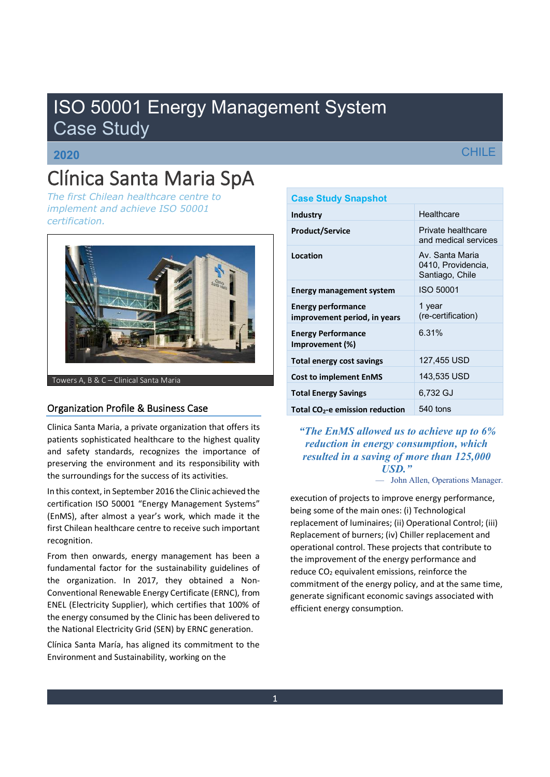# ISO 50001 Energy Management System Case Study

## **2020**

# Clínica Santa Maria SpA

*The first Chilean healthcare centre to implement and achieve ISO 50001 certification.* 



Towers A, B & C - Clinical Santa Maria

### Organization Profile & Business Case

Clinica Santa Maria, a private organization that offers its patients sophisticated healthcare to the highest quality and safety standards, recognizes the importance of preserving the environment and its responsibility with the surroundings for the success of its activities.

In this context, in September 2016 the Clinic achieved the certification ISO 50001 "Energy Management Systems" (EnMS), after almost a year's work, which made it the first Chilean healthcare centre to receive such important recognition.

From then onwards, energy management has been a fundamental factor for the sustainability guidelines of the organization. In 2017, they obtained a Non-Conventional Renewable Energy Certificate (ERNC), from ENEL (Electricity Supplier), which certifies that 100% of the energy consumed by the Clinic has been delivered to the National Electricity Grid (SEN) by ERNC generation.

Clínica Santa María, has aligned its commitment to the Environment and Sustainability, working on the

| <b>Case Study Snapshot</b>                                |                                                          |
|-----------------------------------------------------------|----------------------------------------------------------|
| Industry                                                  | Healthcare                                               |
| <b>Product/Service</b>                                    | Private healthcare<br>and medical services               |
| Location                                                  | Av. Santa Maria<br>0410, Providencia,<br>Santiago, Chile |
| <b>Energy management system</b>                           | <b>ISO 50001</b>                                         |
| <b>Energy performance</b><br>improvement period, in years | 1 year<br>(re-certification)                             |
| <b>Energy Performance</b><br>Improvement (%)              | 6.31%                                                    |
| <b>Total energy cost savings</b>                          | 127,455 USD                                              |
| <b>Cost to implement EnMS</b>                             | 143,535 USD                                              |
| <b>Total Energy Savings</b>                               | 6,732 GJ                                                 |
| Total CO <sub>2</sub> -e emission reduction               | 540 tons                                                 |

*³The EnMS allowed us to achieve up to 6% reduction in energy consumption, which resulted in a saving of more than 125,000 USD.´*

- John Allen, Operations Manager.

execution of projects to improve energy performance, being some of the main ones: (i) Technological replacement of luminaires; (ii) Operational Control; (iii) Replacement of burners; (iv) Chiller replacement and operational control. These projects that contribute to the improvement of the energy performance and reduce CO<sub>2</sub> equivalent emissions, reinforce the commitment of the energy policy, and at the same time, generate significant economic savings associated with efficient energy consumption.

## **CHILE**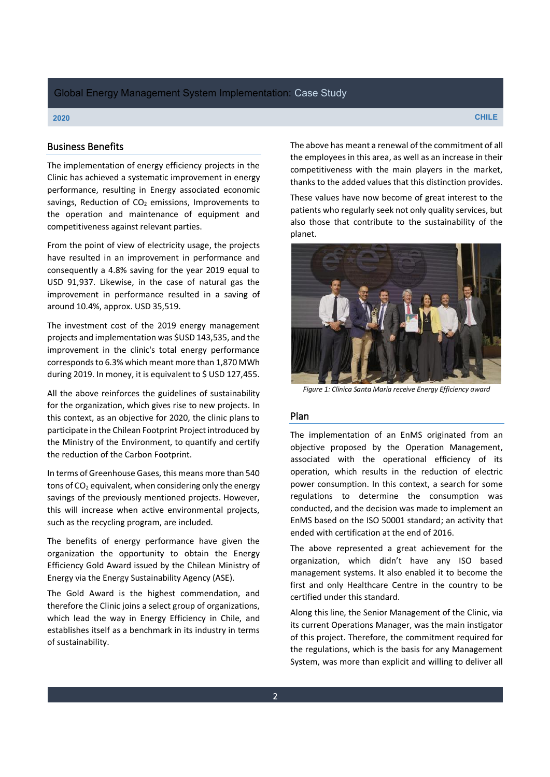#### **2020 CHILE**

#### Business Benefits

The implementation of energy efficiency projects in the Clinic has achieved a systematic improvement in energy performance, resulting in Energy associated economic savings, Reduction of  $CO<sub>2</sub>$  emissions, Improvements to the operation and maintenance of equipment and competitiveness against relevant parties.

From the point of view of electricity usage, the projects have resulted in an improvement in performance and consequently a 4.8% saving for the year 2019 equal to USD 91,937. Likewise, in the case of natural gas the improvement in performance resulted in a saving of around 10.4%, approx. USD 35,519.

The investment cost of the 2019 energy management projects and implementation was \$USD 143,535, and the improvement in the clinic's total energy performance corresponds to 6.3% which meant more than 1,870 MWh during 2019. In money, it is equivalent to \$ USD 127,455.

All the above reinforces the guidelines of sustainability for the organization, which gives rise to new projects. In this context, as an objective for 2020, the clinic plans to participate in the Chilean Footprint Project introduced by the Ministry of the Environment, to quantify and certify the reduction of the Carbon Footprint.

In terms of Greenhouse Gases, this means more than 540 tons of  $CO<sub>2</sub>$  equivalent, when considering only the energy savings of the previously mentioned projects. However, this will increase when active environmental projects, such as the recycling program, are included.

The benefits of energy performance have given the organization the opportunity to obtain the Energy Efficiency Gold Award issued by the Chilean Ministry of Energy via the Energy Sustainability Agency (ASE).

The Gold Award is the highest commendation, and therefore the Clinic joins a select group of organizations, which lead the way in Energy Efficiency in Chile, and establishes itself as a benchmark in its industry in terms of sustainability.

The above has meant a renewal of the commitment of all the employees in this area, as well as an increase in their competitiveness with the main players in the market, thanks to the added values that this distinction provides.

These values have now become of great interest to the patients who regularly seek not only quality services, but also those that contribute to the sustainability of the planet.



*Figure 1: Clinica Santa María receive Energy Efficiency award*

#### Plan

The implementation of an EnMS originated from an objective proposed by the Operation Management, associated with the operational efficiency of its operation, which results in the reduction of electric power consumption. In this context, a search for some regulations to determine the consumption was conducted, and the decision was made to implement an EnMS based on the ISO 50001 standard; an activity that ended with certification at the end of 2016.

The above represented a great achievement for the organization, which didn't have any ISO based management systems. It also enabled it to become the first and only Healthcare Centre in the country to be certified under this standard.

Along this line, the Senior Management of the Clinic, via its current Operations Manager, was the main instigator of this project. Therefore, the commitment required for the regulations, which is the basis for any Management System, was more than explicit and willing to deliver all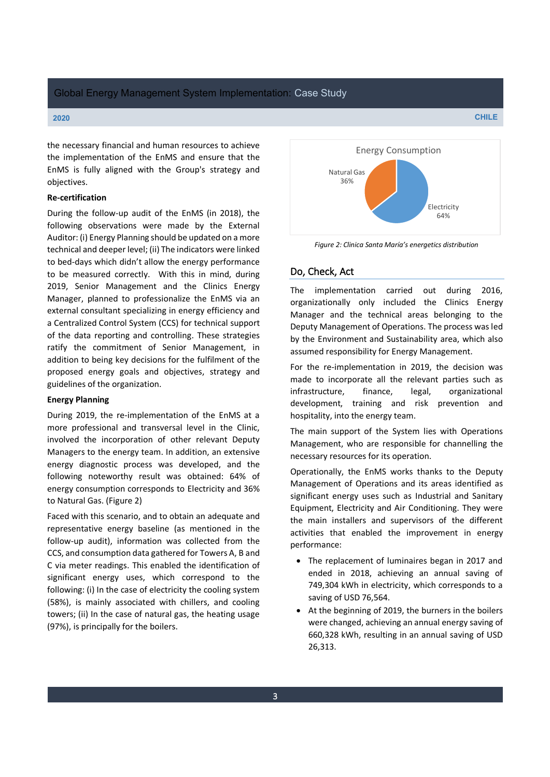the necessary financial and human resources to achieve the implementation of the EnMS and ensure that the EnMS is fully aligned with the Group's strategy and objectives.

#### **Re-certification**

During the follow-up audit of the EnMS (in 2018), the following observations were made by the External Auditor: (i) Energy Planning should be updated on a more technical and deeper level; (ii) The indicators were linked to bed-days which didn't allow the energy performance to be measured correctly. With this in mind, during 2019, Senior Management and the Clinics Energy Manager, planned to professionalize the EnMS via an external consultant specializing in energy efficiency and a Centralized Control System (CCS) for technical support of the data reporting and controlling. These strategies ratify the commitment of Senior Management, in addition to being key decisions for the fulfilment of the proposed energy goals and objectives, strategy and guidelines of the organization.

#### **Energy Planning**

During 2019, the re-implementation of the EnMS at a more professional and transversal level in the Clinic, involved the incorporation of other relevant Deputy Managers to the energy team. In addition, an extensive energy diagnostic process was developed, and the following noteworthy result was obtained: 64% of energy consumption corresponds to Electricity and 36% to Natural Gas. (Figure 2)

Faced with this scenario, and to obtain an adequate and representative energy baseline (as mentioned in the follow-up audit), information was collected from the CCS, and consumption data gathered for Towers A, B and C via meter readings. This enabled the identification of significant energy uses, which correspond to the following: (i) In the case of electricity the cooling system (58%), is mainly associated with chillers, and cooling towers; (ii) In the case of natural gas, the heating usage (97%), is principally for the boilers.



*Figure 2: Clinica Santa María's energetics distribution* 

#### Do, Check, Act

The implementation carried out during 2016, organizationally only included the Clinics Energy Manager and the technical areas belonging to the Deputy Management of Operations. The process was led by the Environment and Sustainability area, which also assumed responsibility for Energy Management.

For the re-implementation in 2019, the decision was made to incorporate all the relevant parties such as infrastructure, finance, legal, organizational development, training and risk prevention and hospitality, into the energy team.

The main support of the System lies with Operations Management, who are responsible for channelling the necessary resources for its operation.

Operationally, the EnMS works thanks to the Deputy Management of Operations and its areas identified as significant energy uses such as Industrial and Sanitary Equipment, Electricity and Air Conditioning. They were the main installers and supervisors of the different activities that enabled the improvement in energy performance:

- The replacement of luminaires began in 2017 and ended in 2018, achieving an annual saving of 749,304 kWh in electricity, which corresponds to a saving of USD 76,564.
- At the beginning of 2019, the burners in the boilers were changed, achieving an annual energy saving of 660,328 kWh, resulting in an annual saving of USD 26,313.

**2020 CHILE**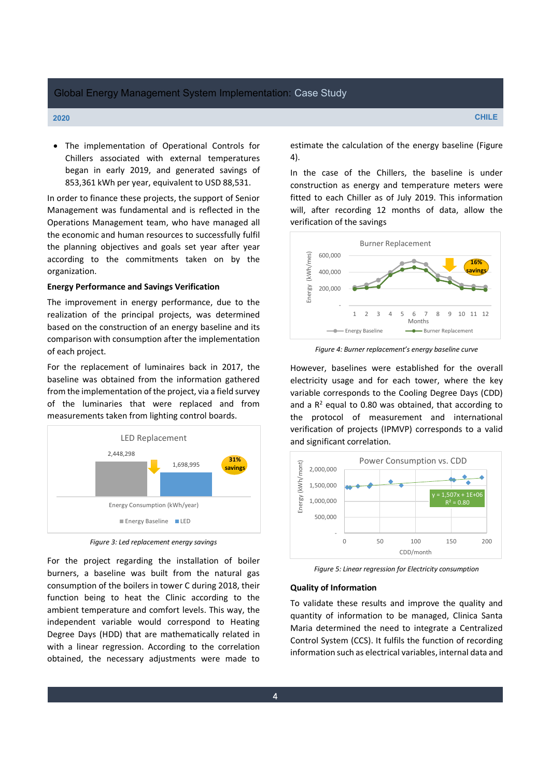• The implementation of Operational Controls for Chillers associated with external temperatures began in early 2019, and generated savings of 853,361 kWh per year, equivalent to USD 88,531.

In order to finance these projects, the support of Senior Management was fundamental and is reflected in the Operations Management team, who have managed all the economic and human resources to successfully fulfil the planning objectives and goals set year after year according to the commitments taken on by the organization.

#### **Energy Performance and Savings Verification**

The improvement in energy performance, due to the realization of the principal projects, was determined based on the construction of an energy baseline and its comparison with consumption after the implementation of each project.

For the replacement of luminaires back in 2017, the baseline was obtained from the information gathered from the implementation of the project, via a field survey of the luminaries that were replaced and from measurements taken from lighting control boards.



*Figure 3: Led replacement energy savings*

For the project regarding the installation of boiler burners, a baseline was built from the natural gas consumption of the boilers in tower C during 2018, their function being to heat the Clinic according to the ambient temperature and comfort levels. This way, the independent variable would correspond to Heating Degree Days (HDD) that are mathematically related in with a linear regression. According to the correlation obtained, the necessary adjustments were made to estimate the calculation of the energy baseline (Figure 4).

In the case of the Chillers, the baseline is under construction as energy and temperature meters were fitted to each Chiller as of July 2019. This information will, after recording 12 months of data, allow the verification of the savings



*Figure 4: Burner replacement's energy baseline curve* 

However, baselines were established for the overall electricity usage and for each tower, where the key variable corresponds to the Cooling Degree Days (CDD) and a  $R^2$  equal to 0.80 was obtained, that according to the protocol of measurement and international verification of projects (IPMVP) corresponds to a valid and significant correlation.



*Figure 5: Linear regression for Electricity consumption*

#### **Quality of Information**

To validate these results and improve the quality and quantity of information to be managed, Clinica Santa Maria determined the need to integrate a Centralized Control System (CCS). It fulfils the function of recording information such as electrical variables, internal data and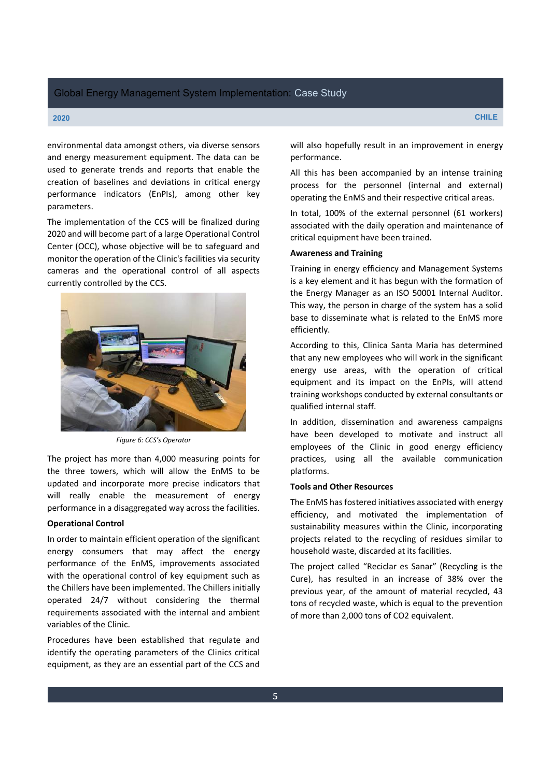#### **2020 CHILE**

environmental data amongst others, via diverse sensors and energy measurement equipment. The data can be used to generate trends and reports that enable the creation of baselines and deviations in critical energy performance indicators (EnPIs), among other key parameters.

The implementation of the CCS will be finalized during 2020 and will become part of a large Operational Control Center (OCC), whose objective will be to safeguard and monitor the operation of the Clinic's facilities via security cameras and the operational control of all aspects currently controlled by the CCS.



*Figure 6: CCS's Operator* 

The project has more than 4,000 measuring points for the three towers, which will allow the EnMS to be updated and incorporate more precise indicators that will really enable the measurement of energy performance in a disaggregated way across the facilities.

#### **Operational Control**

In order to maintain efficient operation of the significant energy consumers that may affect the energy performance of the EnMS, improvements associated with the operational control of key equipment such as the Chillers have been implemented. The Chillers initially operated 24/7 without considering the thermal requirements associated with the internal and ambient variables of the Clinic.

Procedures have been established that regulate and identify the operating parameters of the Clinics critical equipment, as they are an essential part of the CCS and

will also hopefully result in an improvement in energy performance.

All this has been accompanied by an intense training process for the personnel (internal and external) operating the EnMS and their respective critical areas.

In total, 100% of the external personnel (61 workers) associated with the daily operation and maintenance of critical equipment have been trained.

#### **Awareness and Training**

Training in energy efficiency and Management Systems is a key element and it has begun with the formation of the Energy Manager as an ISO 50001 Internal Auditor. This way, the person in charge of the system has a solid base to disseminate what is related to the EnMS more efficiently.

According to this, Clinica Santa Maria has determined that any new employees who will work in the significant energy use areas, with the operation of critical equipment and its impact on the EnPIs, will attend training workshops conducted by external consultants or qualified internal staff.

In addition, dissemination and awareness campaigns have been developed to motivate and instruct all employees of the Clinic in good energy efficiency practices, using all the available communication platforms.

#### **Tools and Other Resources**

The EnMS has fostered initiatives associated with energy efficiency, and motivated the implementation of sustainability measures within the Clinic, incorporating projects related to the recycling of residues similar to household waste, discarded at its facilities.

The project called "Reciclar es Sanar" (Recycling is the Cure), has resulted in an increase of 38% over the previous year, of the amount of material recycled, 43 tons of recycled waste, which is equal to the prevention of more than 2,000 tons of CO2 equivalent.